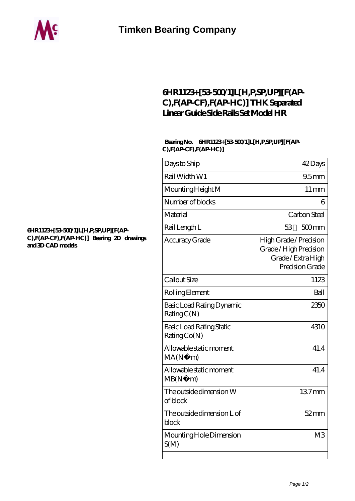

## **[6HR1123+\[53-500/1\]L\[H,P,SP,UP\]\[F\(AP-](https://cynthiadoggett.com/thk-linear-guide/6hr1123-53-500-1-l-h-p-sp-up-f-ap-c-f-ap-cf-f-ap-hc.html)[C\),F\(AP-CF\),F\(AP-HC\)\] THK Separated](https://cynthiadoggett.com/thk-linear-guide/6hr1123-53-500-1-l-h-p-sp-up-f-ap-c-f-ap-cf-f-ap-hc.html) [Linear Guide Side Rails Set Model HR](https://cynthiadoggett.com/thk-linear-guide/6hr1123-53-500-1-l-h-p-sp-up-f-ap-c-f-ap-cf-f-ap-hc.html)**

## **Bearing No. 6HR1123+[53-500/1]L[H,P,SP,UP][F(AP-C),F(AP-CF),F(AP-HC)]**

| Days to Ship                                    | 42Days                                                                                  |
|-------------------------------------------------|-----------------------------------------------------------------------------------------|
| Rail Width W1                                   | 95 <sub>mm</sub>                                                                        |
| Mounting Height M                               | $11 \,\mathrm{mm}$                                                                      |
| Number of blocks                                | 6                                                                                       |
| Material                                        | Carbon Steel                                                                            |
| Rail Length L                                   | 53<br>$500$ mm                                                                          |
| Accuracy Grade                                  | High Grade / Precision<br>Grade / High Precision<br>Grade/Extra High<br>Precision Grade |
| Callout Size                                    | 1123                                                                                    |
| Rolling Element                                 | Ball                                                                                    |
| Basic Load Rating Dynamic<br>RatingC(N)         | 2350                                                                                    |
| <b>Basic Load Rating Static</b><br>Rating Co(N) | 4310                                                                                    |
| Allowable static moment<br>MA(N·)<br>m)         | 41.4                                                                                    |
| Allowable static moment<br>MB(N)<br>m           | 41.4                                                                                    |
| The outside dimension W<br>of block             | 137mm                                                                                   |
| The outside dimension L of<br>block             | $52$ mm                                                                                 |
| Mounting Hole Dimension<br>S(M)                 | M <sub>3</sub>                                                                          |
|                                                 |                                                                                         |

## **[6HR1123+\[53-500/1\]L\[H,P,SP,UP\]\[F\(AP-](https://cynthiadoggett.com/pic-1001475.html)[C\),F\(AP-CF\),F\(AP-HC\)\] Bearing 2D drawings](https://cynthiadoggett.com/pic-1001475.html) [and 3D CAD models](https://cynthiadoggett.com/pic-1001475.html)**